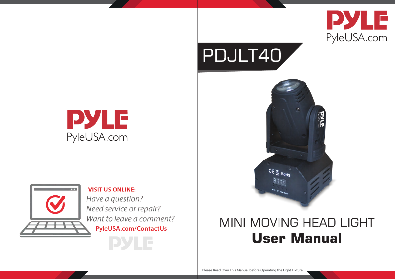

# PDJLT40





**VISIT US ONLINE:** Have a question? Need service or repair? Want to leave a comment? PyleUSA.com/ContactUs



## MINI MOVING HEAD LIGHT **User Manual**

CE & ROHS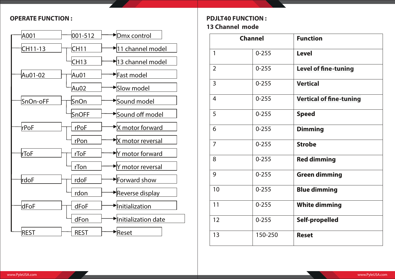#### **OPERATE FUNCTION :**



#### **PDJLT40 FUNCTION :**

#### **13 Channel mode**

| <b>Channel</b> |           | <b>Function</b>                |
|----------------|-----------|--------------------------------|
| 1              | $0 - 255$ | <b>Level</b>                   |
| $\overline{2}$ | $0 - 255$ | <b>Level of fine-tuning</b>    |
| $\overline{3}$ | $0 - 255$ | <b>Vertical</b>                |
| $\overline{4}$ | $0 - 255$ | <b>Vertical of fine-tuning</b> |
| 5              | $0 - 255$ | <b>Speed</b>                   |
| 6              | $0 - 255$ | <b>Dimming</b>                 |
| $\overline{7}$ | $0 - 255$ | <b>Strobe</b>                  |
| 8              | $0 - 255$ | <b>Red dimming</b>             |
| 9              | $0 - 255$ | <b>Green dimming</b>           |
| 10             | $0 - 255$ | <b>Blue dimming</b>            |
| 11             | $0 - 255$ | <b>White dimming</b>           |
| 12             | $0 - 255$ | Self-propelled                 |
| 13             | 150-250   | <b>Reset</b>                   |